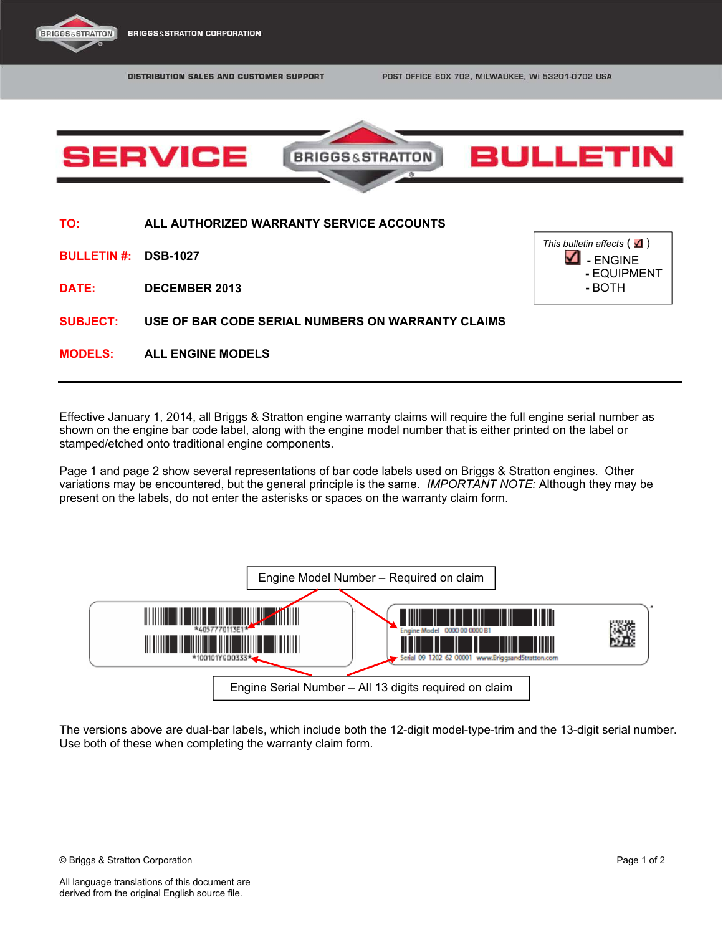

**BRIGGS&STRATTON CORPORATION** 

DISTRIBUTION SALES AND CUSTOMER SUPPORT

POST OFFICE BOX 702, MILWAUKEE, WI 53201-0702 USA



**DATE: DECEMBER 2013** 

**SUBJECT: USE OF BAR CODE SERIAL NUMBERS ON WARRANTY CLAIMS** 

**MODELS: ALL ENGINE MODELS** 

Effective January 1, 2014, all Briggs & Stratton engine warranty claims will require the full engine serial number as shown on the engine bar code label, along with the engine model number that is either printed on the label or stamped/etched onto traditional engine components.

Page 1 and page 2 show several representations of bar code labels used on Briggs & Stratton engines. Other variations may be encountered, but the general principle is the same. *IMPORTANT NOTE:* Although they may be present on the labels, do not enter the asterisks or spaces on the warranty claim form.



The versions above are dual-bar labels, which include both the 12-digit model-type-trim and the 13-digit serial number. Use both of these when completing the warranty claim form.

 **-** EQUIPMENT  **-** BOTH